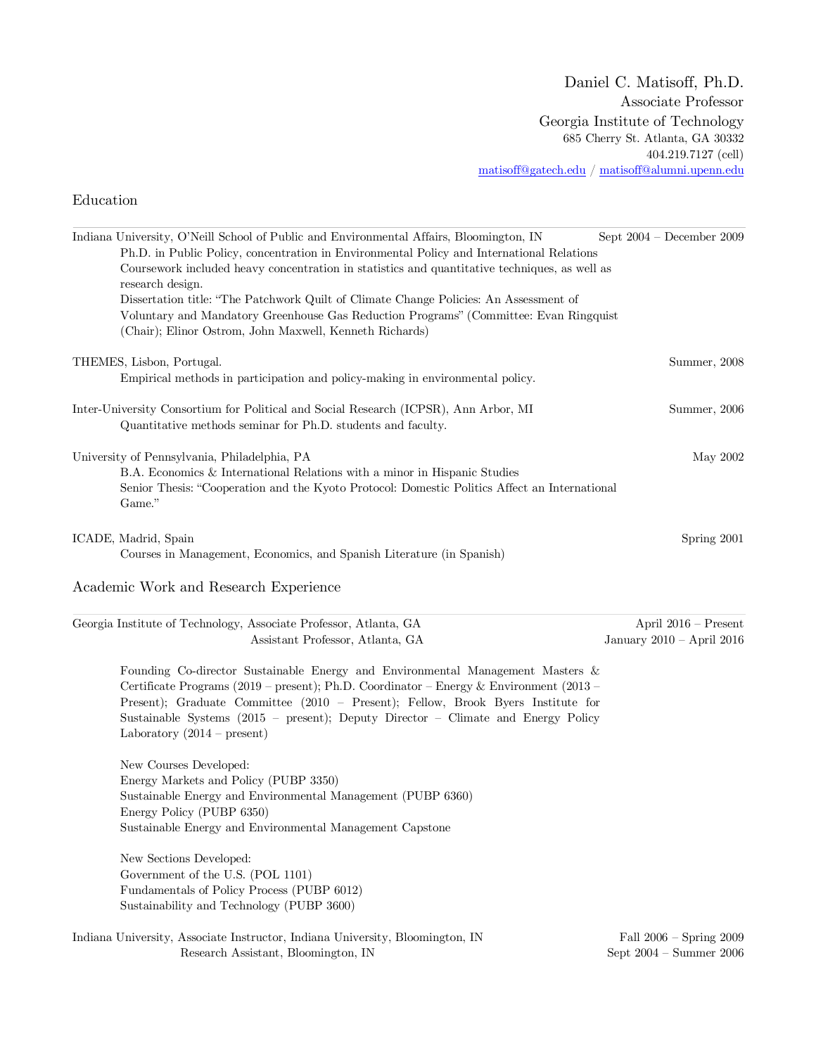## Education

| Indiana University, O'Neill School of Public and Environmental Affairs, Bloomington, IN<br>Ph.D. in Public Policy, concentration in Environmental Policy and International Relations<br>Coursework included heavy concentration in statistics and quantitative techniques, as well as<br>research design.                                                                           | Sept $2004$ – December 2009                                |
|-------------------------------------------------------------------------------------------------------------------------------------------------------------------------------------------------------------------------------------------------------------------------------------------------------------------------------------------------------------------------------------|------------------------------------------------------------|
| Dissertation title: "The Patchwork Quilt of Climate Change Policies: An Assessment of<br>Voluntary and Mandatory Greenhouse Gas Reduction Programs" (Committee: Evan Ringquist<br>(Chair); Elinor Ostrom, John Maxwell, Kenneth Richards)                                                                                                                                           |                                                            |
| THEMES, Lisbon, Portugal.<br>Empirical methods in participation and policy-making in environmental policy.                                                                                                                                                                                                                                                                          | Summer, 2008                                               |
| Inter-University Consortium for Political and Social Research (ICPSR), Ann Arbor, MI<br>Quantitative methods seminar for Ph.D. students and faculty.                                                                                                                                                                                                                                | Summer, 2006                                               |
| University of Pennsylvania, Philadelphia, PA<br>B.A. Economics & International Relations with a minor in Hispanic Studies<br>Senior Thesis: "Cooperation and the Kyoto Protocol: Domestic Politics Affect an International<br>Game."                                                                                                                                                | May 2002                                                   |
| ICADE, Madrid, Spain<br>Courses in Management, Economics, and Spanish Literature (in Spanish)                                                                                                                                                                                                                                                                                       | Spring 2001                                                |
| Academic Work and Research Experience                                                                                                                                                                                                                                                                                                                                               |                                                            |
| Georgia Institute of Technology, Associate Professor, Atlanta, GA<br>Assistant Professor, Atlanta, GA                                                                                                                                                                                                                                                                               | April $2016$ – Present<br>January 2010 - April 2016        |
| Founding Co-director Sustainable Energy and Environmental Management Masters &<br>Certificate Programs (2019 – present); Ph.D. Coordinator – Energy & Environment (2013 –<br>Present); Graduate Committee (2010 - Present); Fellow, Brook Byers Institute for<br>Sustainable Systems (2015 - present); Deputy Director - Climate and Energy Policy<br>Laboratory $(2014 - present)$ |                                                            |
| New Courses Developed:<br>Energy Markets and Policy (PUBP 3350)<br>Sustainable Energy and Environmental Management (PUBP 6360)<br>Energy Policy (PUBP 6350)<br>Sustainable Energy and Environmental Management Capstone                                                                                                                                                             |                                                            |
| New Sections Developed:<br>Government of the U.S. (POL 1101)<br>Fundamentals of Policy Process (PUBP 6012)<br>Sustainability and Technology (PUBP 3600)                                                                                                                                                                                                                             |                                                            |
| Indiana University, Associate Instructor, Indiana University, Bloomington, IN<br>Research Assistant, Bloomington, IN                                                                                                                                                                                                                                                                | Fall $2006$ – Spring $2009$<br>Sept $2004$ – Summer $2006$ |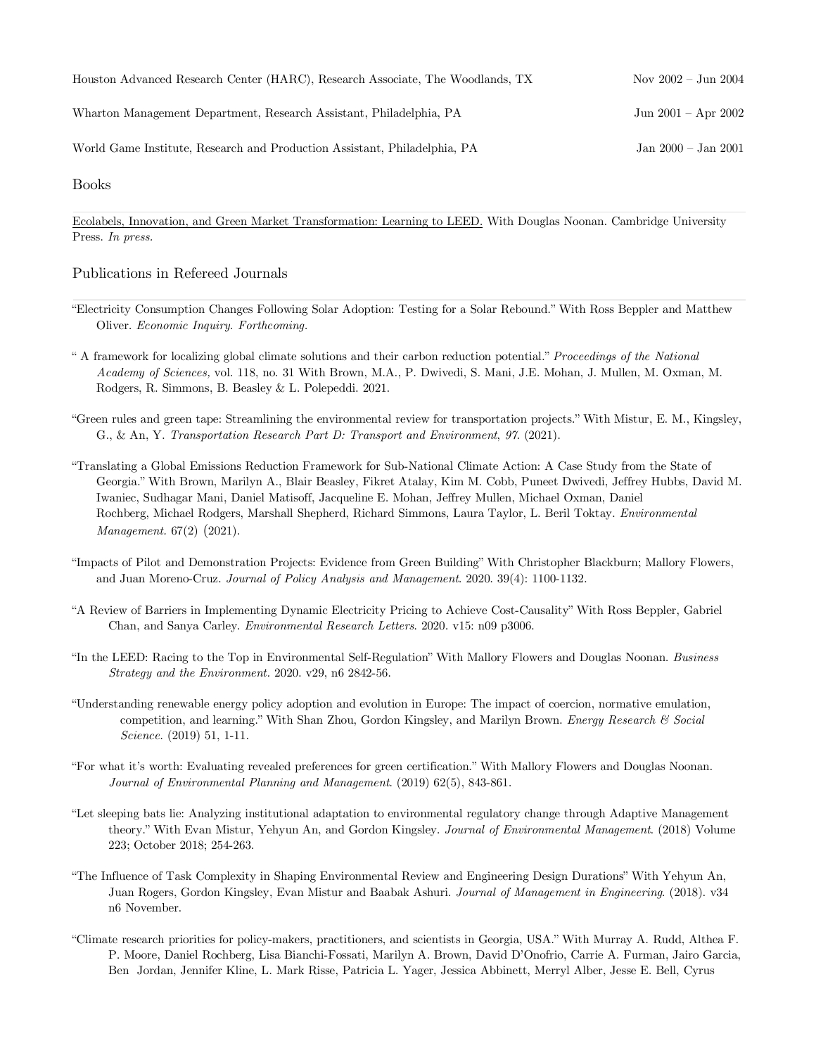| Houston Advanced Research Center (HARC), Research Associate, The Woodlands, TX | Nov $2002 - \text{Jun } 2004$ |
|--------------------------------------------------------------------------------|-------------------------------|
| Wharton Management Department, Research Assistant, Philadelphia, PA            | $Jun 2001 - Apr 2002$         |
| World Game Institute, Research and Production Assistant, Philadelphia, PA      | Jan $2000 -$ Jan $2001$       |

Books

Ecolabels, Innovation, and Green Market Transformation: Learning to LEED. With Douglas Noonan. Cambridge University Press. *In press.*

#### Publications in Refereed Journals

- "Electricity Consumption Changes Following Solar Adoption: Testing for a Solar Rebound." With Ross Beppler and Matthew Oliver. *Economic Inquiry. Forthcoming.*
- " A framework for localizing global climate solutions and their carbon reduction potential." *Proceedings of the National Academy of Sciences,* vol. 118, no. 31 With Brown, M.A., P. Dwivedi, S. Mani, J.E. Mohan, J. Mullen, M. Oxman, M. Rodgers, R. Simmons, B. Beasley & L. Polepeddi. 2021.
- "Green rules and green tape: Streamlining the environmental review for transportation projects." With Mistur, E. M., Kingsley, G., & An, Y. *Transportation Research Part D: Transport and Environment*, *97*. (2021).
- "Translating a Global Emissions Reduction Framework for Sub-National Climate Action: A Case Study from the State of Georgia." With Brown, Marilyn A., Blair Beasley, Fikret Atalay, Kim M. Cobb, Puneet Dwivedi, Jeffrey Hubbs, David M. Iwaniec, Sudhagar Mani, Daniel Matisoff, Jacqueline E. Mohan, Jeffrey Mullen, Michael Oxman, Daniel Rochberg, Michael Rodgers, Marshall Shepherd, Richard Simmons, Laura Taylor, L. Beril Toktay. *Environmental Management.* 67(2) (2021).
- "Impacts of Pilot and Demonstration Projects: Evidence from Green Building" With Christopher Blackburn; Mallory Flowers, and Juan Moreno-Cruz. *Journal of Policy Analysis and Management*. 2020. 39(4): 1100-1132.
- "A Review of Barriers in Implementing Dynamic Electricity Pricing to Achieve Cost-Causality" With Ross Beppler, Gabriel Chan, and Sanya Carley. *Environmental Research Letters*. 2020. v15: n09 p3006.
- "In the LEED: Racing to the Top in Environmental Self-Regulation" With Mallory Flowers and Douglas Noonan. *Business Strategy and the Environment.* 2020. v29, n6 2842-56.
- "Understanding renewable energy policy adoption and evolution in Europe: The impact of coercion, normative emulation, competition, and learning." With Shan Zhou, Gordon Kingsley, and Marilyn Brown. *Energy Research & Social Science.* (2019) 51, 1-11.
- "For what it's worth: Evaluating revealed preferences for green certification." With Mallory Flowers and Douglas Noonan. *Journal of Environmental Planning and Management*. (2019) 62(5), 843-861.
- "Let sleeping bats lie: Analyzing institutional adaptation to environmental regulatory change through Adaptive Management theory." With Evan Mistur, Yehyun An, and Gordon Kingsley. *Journal of Environmental Management*. (2018) Volume 223; October 2018; 254-263.
- "The Influence of Task Complexity in Shaping Environmental Review and Engineering Design Durations" With Yehyun An, Juan Rogers, Gordon Kingsley, Evan Mistur and Baabak Ashuri. *Journal of Management in Engineering*. (2018). v34 n6 November.
- "Climate research priorities for policy-makers, practitioners, and scientists in Georgia, USA." With Murray A. Rudd, Althea F. P. Moore, Daniel Rochberg, Lisa Bianchi-Fossati, Marilyn A. Brown, David D'Onofrio, Carrie A. Furman, Jairo Garcia, Ben Jordan, Jennifer Kline, L. Mark Risse, Patricia L. Yager, Jessica Abbinett, Merryl Alber, Jesse E. Bell, Cyrus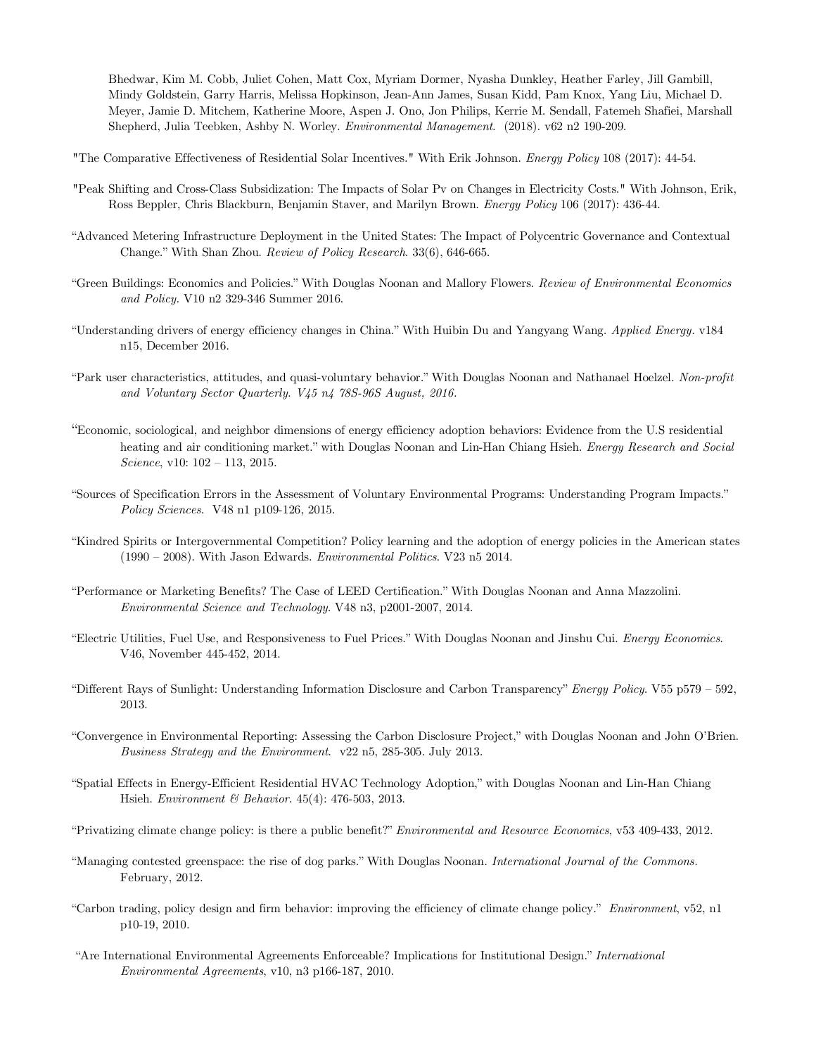Bhedwar, Kim M. Cobb, Juliet Cohen, Matt Cox, Myriam Dormer, Nyasha Dunkley, Heather Farley, Jill Gambill, Mindy Goldstein, Garry Harris, Melissa Hopkinson, Jean-Ann James, Susan Kidd, Pam Knox, Yang Liu, Michael D. Meyer, Jamie D. Mitchem, Katherine Moore, Aspen J. Ono, Jon Philips, Kerrie M. Sendall, Fatemeh Shafiei, Marshall Shepherd, Julia Teebken, Ashby N. Worley. *Environmental Management*. (2018). v62 n2 190-209.

"The Comparative Effectiveness of Residential Solar Incentives." With Erik Johnson. *Energy Policy* 108 (2017): 44-54.

- "Peak Shifting and Cross-Class Subsidization: The Impacts of Solar Pv on Changes in Electricity Costs." With Johnson, Erik, Ross Beppler, Chris Blackburn, Benjamin Staver, and Marilyn Brown. *Energy Policy* 106 (2017): 436-44.
- "Advanced Metering Infrastructure Deployment in the United States: The Impact of Polycentric Governance and Contextual Change." With Shan Zhou. *Review of Policy Research*. 33(6), 646-665.
- "Green Buildings: Economics and Policies." With Douglas Noonan and Mallory Flowers. *Review of Environmental Economics and Policy.* V10 n2 329-346 Summer 2016.
- "Understanding drivers of energy efficiency changes in China." With Huibin Du and Yangyang Wang. *Applied Energy.* v184 n15, December 2016.
- "Park user characteristics, attitudes, and quasi-voluntary behavior." With Douglas Noonan and Nathanael Hoelzel. *Non-profit and Voluntary Sector Quarterly. V45 n4 78S-96S August, 2016.*
- "Economic, sociological, and neighbor dimensions of energy efficiency adoption behaviors: Evidence from the U.S residential heating and air conditioning market." with Douglas Noonan and Lin-Han Chiang Hsieh. *Energy Research and Social Science*, v10: 102 – 113, 2015.
- "Sources of Specification Errors in the Assessment of Voluntary Environmental Programs: Understanding Program Impacts." *Policy Sciences*. V48 n1 p109-126, 2015.
- "Kindred Spirits or Intergovernmental Competition? Policy learning and the adoption of energy policies in the American states (1990 – 2008). With Jason Edwards. *Environmental Politics*. V23 n5 2014.
- "Performance or Marketing Benefits? The Case of LEED Certification." With Douglas Noonan and Anna Mazzolini. *Environmental Science and Technology*. V48 n3, p2001-2007, 2014.
- "Electric Utilities, Fuel Use, and Responsiveness to Fuel Prices." With Douglas Noonan and Jinshu Cui. *Energy Economics*. V46, November 445-452, 2014.
- "Different Rays of Sunlight: Understanding Information Disclosure and Carbon Transparency" *Energy Policy*. V55 p579 592, 2013.
- "Convergence in Environmental Reporting: Assessing the Carbon Disclosure Project," with Douglas Noonan and John O'Brien. *Business Strategy and the Environment*. v22 n5, 285-305. July 2013.
- "Spatial Effects in Energy-Efficient Residential HVAC Technology Adoption," with Douglas Noonan and Lin-Han Chiang Hsieh. *Environment & Behavior*. 45(4): 476-503, 2013.
- "Privatizing climate change policy: is there a public benefit?" *Environmental and Resource Economics*, v53 409-433, 2012.
- "Managing contested greenspace: the rise of dog parks." With Douglas Noonan. *International Journal of the Commons.* February, 2012.
- "Carbon trading, policy design and firm behavior: improving the efficiency of climate change policy." *Environment*, v52, n1 p10-19, 2010.
- "Are International Environmental Agreements Enforceable? Implications for Institutional Design." *International Environmental Agreements*, v10, n3 p166-187, 2010.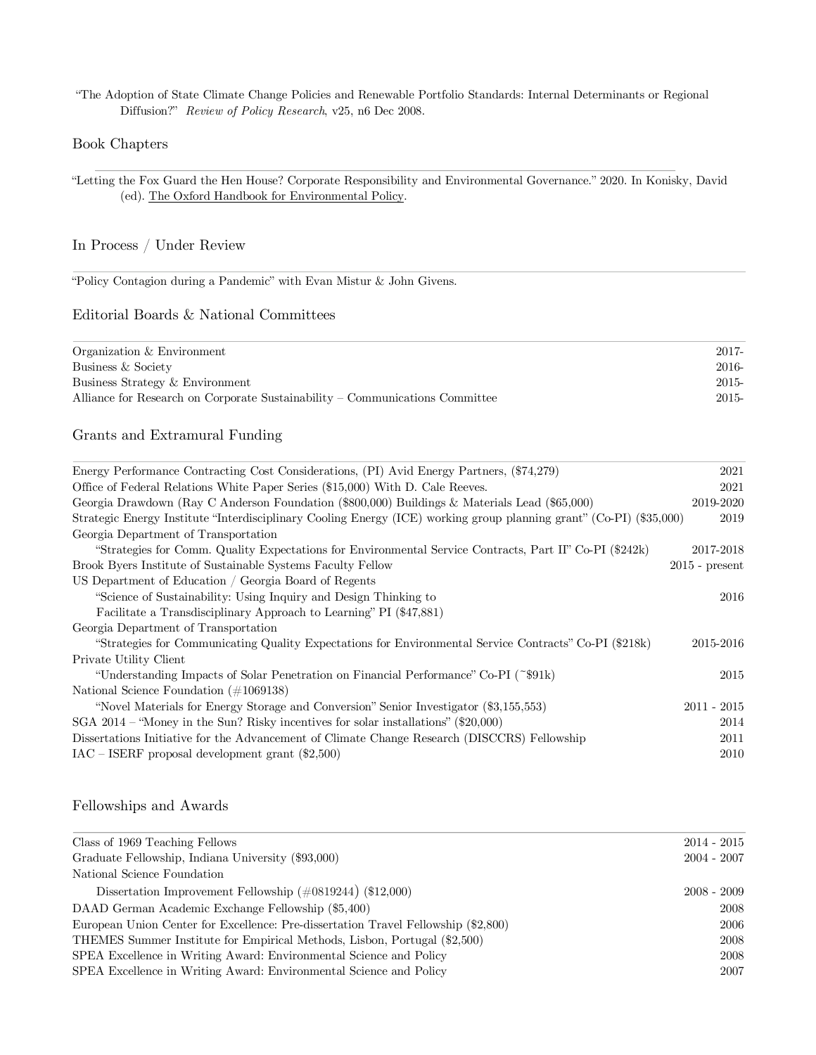"The Adoption of State Climate Change Policies and Renewable Portfolio Standards: Internal Determinants or Regional Diffusion?" *Review of Policy Research*, v25, n6 Dec 2008.

#### Book Chapters

"Letting the Fox Guard the Hen House? Corporate Responsibility and Environmental Governance." 2020. In Konisky, David (ed). The Oxford Handbook for Environmental Policy.

### In Process / Under Review

"Policy Contagion during a Pandemic" with Evan Mistur & John Givens.

# Editorial Boards & National Committees

| Organization & Environment                                                   | 2017-    |
|------------------------------------------------------------------------------|----------|
| Business & Society                                                           | $2016 -$ |
| Business Strategy & Environment                                              | $2015 -$ |
| Alliance for Research on Corporate Sustainability – Communications Committee | $2015 -$ |
|                                                                              |          |

# Grants and Extramural Funding

| Energy Performance Contracting Cost Considerations, (PI) Avid Energy Partners, (\$74,279)                           | 2021             |
|---------------------------------------------------------------------------------------------------------------------|------------------|
| Office of Federal Relations White Paper Series (\$15,000) With D. Cale Reeves.                                      | 2021             |
| Georgia Drawdown (Ray C Anderson Foundation (\$800,000) Buildings & Materials Lead (\$65,000)                       | 2019-2020        |
| Strategic Energy Institute "Interdisciplinary Cooling Energy (ICE) working group planning grant" (Co-PI) (\$35,000) | 2019             |
| Georgia Department of Transportation                                                                                |                  |
| "Strategies for Comm. Quality Expectations for Environmental Service Contracts, Part II" Co-PI (\$242k)             | 2017-2018        |
| Brook Byers Institute of Sustainable Systems Faculty Fellow                                                         | $2015$ - present |
| US Department of Education / Georgia Board of Regents                                                               |                  |
| "Science of Sustainability: Using Inquiry and Design Thinking to                                                    | 2016             |
| Facilitate a Transdisciplinary Approach to Learning" PI (\$47,881)                                                  |                  |
| Georgia Department of Transportation                                                                                |                  |
| "Strategies for Communicating Quality Expectations for Environmental Service Contracts" Co-PI (\$218k)              | 2015-2016        |
| Private Utility Client                                                                                              |                  |
| "Understanding Impacts of Solar Penetration on Financial Performance" Co-PI (~\$91k)                                | 2015             |
| National Science Foundation $(\#1069138)$                                                                           |                  |
| "Novel Materials for Energy Storage and Conversion" Senior Investigator (\$3,155,553)                               | $2011 - 2015$    |
| SGA 2014 – "Money in the Sun? Risky incentives for solar installations" (\$20,000)                                  | 2014             |
| Dissertations Initiative for the Advancement of Climate Change Research (DISCCRS) Fellowship                        | 2011             |
| $\text{IAC}$ – ISERF proposal development grant (\$2,500)                                                           | 2010             |

#### Fellowships and Awards

| Class of 1969 Teaching Fellows                                                     | $2014 - 2015$ |
|------------------------------------------------------------------------------------|---------------|
| Graduate Fellowship, Indiana University (\$93,000)                                 | $2004 - 2007$ |
| National Science Foundation                                                        |               |
| Dissertation Improvement Fellowship $(\#0819244)$ (\$12,000)                       | $2008 - 2009$ |
| DAAD German Academic Exchange Fellowship (\$5,400)                                 | 2008          |
| European Union Center for Excellence: Pre-dissertation Travel Fellowship (\$2,800) | 2006          |
| THEMES Summer Institute for Empirical Methods, Lisbon, Portugal (\$2,500)          | 2008          |
| SPEA Excellence in Writing Award: Environmental Science and Policy                 | 2008          |
| SPEA Excellence in Writing Award: Environmental Science and Policy                 | 2007          |
|                                                                                    |               |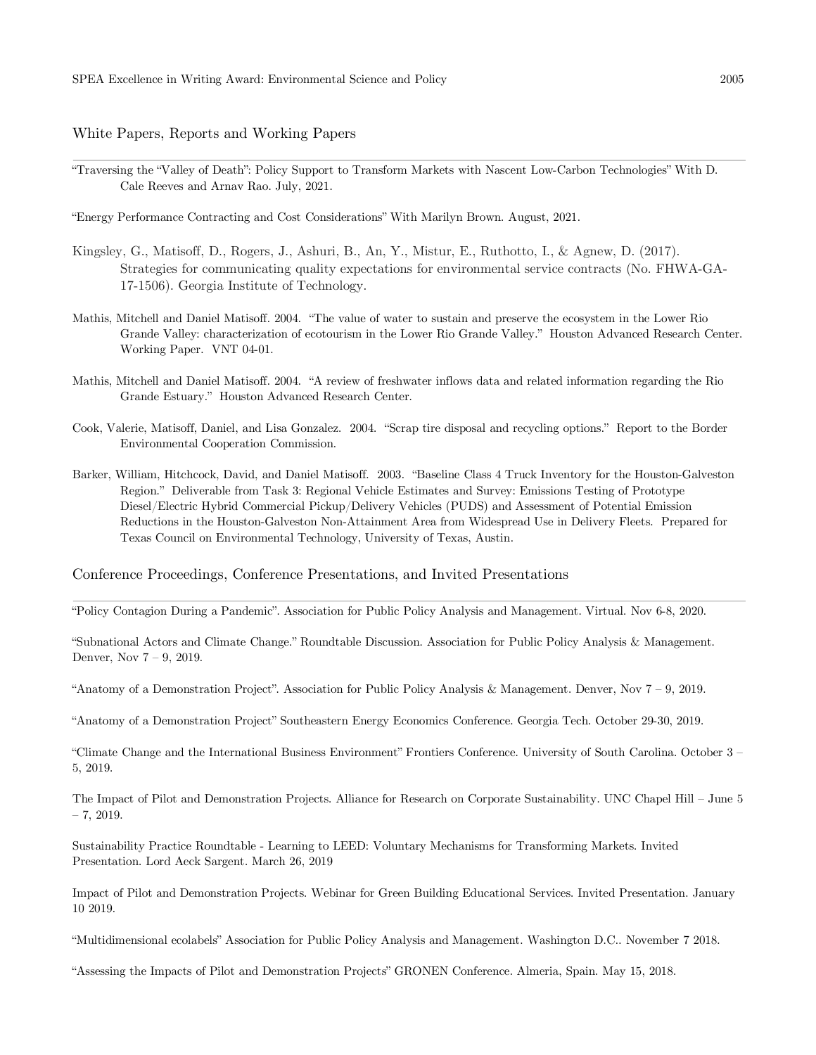White Papers, Reports and Working Papers

"Traversing the "Valley of Death": Policy Support to Transform Markets with Nascent Low-Carbon Technologies" With D. Cale Reeves and Arnav Rao. July, 2021.

"Energy Performance Contracting and Cost Considerations" With Marilyn Brown. August, 2021.

- Kingsley, G., Matisoff, D., Rogers, J., Ashuri, B., An, Y., Mistur, E., Ruthotto, I., & Agnew, D. (2017). Strategies for communicating quality expectations for environmental service contracts (No. FHWA-GA-17-1506). Georgia Institute of Technology.
- Mathis, Mitchell and Daniel Matisoff. 2004. "The value of water to sustain and preserve the ecosystem in the Lower Rio Grande Valley: characterization of ecotourism in the Lower Rio Grande Valley." Houston Advanced Research Center. Working Paper. VNT 04-01.
- Mathis, Mitchell and Daniel Matisoff. 2004. "A review of freshwater inflows data and related information regarding the Rio Grande Estuary." Houston Advanced Research Center.
- Cook, Valerie, Matisoff, Daniel, and Lisa Gonzalez. 2004. "Scrap tire disposal and recycling options." Report to the Border Environmental Cooperation Commission.
- Barker, William, Hitchcock, David, and Daniel Matisoff. 2003. "Baseline Class 4 Truck Inventory for the Houston-Galveston Region." Deliverable from Task 3: Regional Vehicle Estimates and Survey: Emissions Testing of Prototype Diesel/Electric Hybrid Commercial Pickup/Delivery Vehicles (PUDS) and Assessment of Potential Emission Reductions in the Houston-Galveston Non-Attainment Area from Widespread Use in Delivery Fleets. Prepared for Texas Council on Environmental Technology, University of Texas, Austin.

#### Conference Proceedings, Conference Presentations, and Invited Presentations

"Policy Contagion During a Pandemic". Association for Public Policy Analysis and Management. Virtual. Nov 6-8, 2020.

"Subnational Actors and Climate Change." Roundtable Discussion. Association for Public Policy Analysis & Management. Denver, Nov 7 – 9, 2019.

"Anatomy of a Demonstration Project". Association for Public Policy Analysis & Management. Denver, Nov 7 – 9, 2019.

"Anatomy of a Demonstration Project" Southeastern Energy Economics Conference. Georgia Tech. October 29-30, 2019.

"Climate Change and the International Business Environment" Frontiers Conference. University of South Carolina. October 3 – 5, 2019.

The Impact of Pilot and Demonstration Projects. Alliance for Research on Corporate Sustainability. UNC Chapel Hill – June 5  $-7, 2019.$ 

Sustainability Practice Roundtable - Learning to LEED: Voluntary Mechanisms for Transforming Markets. Invited Presentation. Lord Aeck Sargent. March 26, 2019

Impact of Pilot and Demonstration Projects. Webinar for Green Building Educational Services. Invited Presentation. January 10 2019.

"Multidimensional ecolabels" Association for Public Policy Analysis and Management. Washington D.C.. November 7 2018.

"Assessing the Impacts of Pilot and Demonstration Projects" GRONEN Conference. Almeria, Spain. May 15, 2018.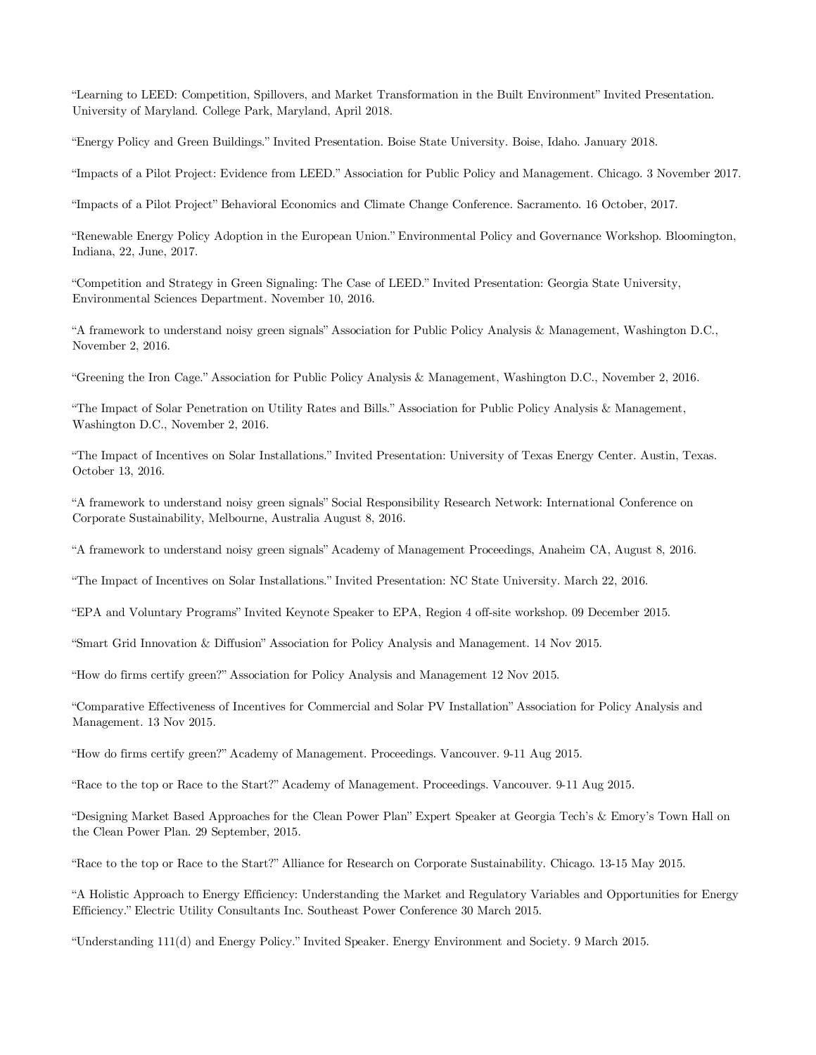"Learning to LEED: Competition, Spillovers, and Market Transformation in the Built Environment" Invited Presentation. University of Maryland. College Park, Maryland, April 2018.

"Energy Policy and Green Buildings." Invited Presentation. Boise State University. Boise, Idaho. January 2018.

"Impacts of a Pilot Project: Evidence from LEED." Association for Public Policy and Management. Chicago. 3 November 2017.

"Impacts of a Pilot Project" Behavioral Economics and Climate Change Conference. Sacramento. 16 October, 2017.

"Renewable Energy Policy Adoption in the European Union." Environmental Policy and Governance Workshop. Bloomington, Indiana, 22, June, 2017.

"Competition and Strategy in Green Signaling: The Case of LEED." Invited Presentation: Georgia State University, Environmental Sciences Department. November 10, 2016.

"A framework to understand noisy green signals" Association for Public Policy Analysis & Management, Washington D.C., November 2, 2016.

"Greening the Iron Cage." Association for Public Policy Analysis & Management, Washington D.C., November 2, 2016.

"The Impact of Solar Penetration on Utility Rates and Bills." Association for Public Policy Analysis & Management, Washington D.C., November 2, 2016.

"The Impact of Incentives on Solar Installations." Invited Presentation: University of Texas Energy Center. Austin, Texas. October 13, 2016.

"A framework to understand noisy green signals" Social Responsibility Research Network: International Conference on Corporate Sustainability, Melbourne, Australia August 8, 2016.

"A framework to understand noisy green signals" Academy of Management Proceedings, Anaheim CA, August 8, 2016.

"The Impact of Incentives on Solar Installations." Invited Presentation: NC State University. March 22, 2016.

"EPA and Voluntary Programs" Invited Keynote Speaker to EPA, Region 4 off-site workshop. 09 December 2015.

"Smart Grid Innovation & Diffusion" Association for Policy Analysis and Management. 14 Nov 2015.

"How do firms certify green?" Association for Policy Analysis and Management 12 Nov 2015.

"Comparative Effectiveness of Incentives for Commercial and Solar PV Installation" Association for Policy Analysis and Management. 13 Nov 2015.

"How do firms certify green?" Academy of Management. Proceedings. Vancouver. 9-11 Aug 2015.

"Race to the top or Race to the Start?" Academy of Management. Proceedings. Vancouver. 9-11 Aug 2015.

"Designing Market Based Approaches for the Clean Power Plan" Expert Speaker at Georgia Tech's & Emory's Town Hall on the Clean Power Plan. 29 September, 2015.

"Race to the top or Race to the Start?" Alliance for Research on Corporate Sustainability. Chicago. 13-15 May 2015.

"A Holistic Approach to Energy Efficiency: Understanding the Market and Regulatory Variables and Opportunities for Energy Efficiency." Electric Utility Consultants Inc. Southeast Power Conference 30 March 2015.

"Understanding 111(d) and Energy Policy." Invited Speaker. Energy Environment and Society. 9 March 2015.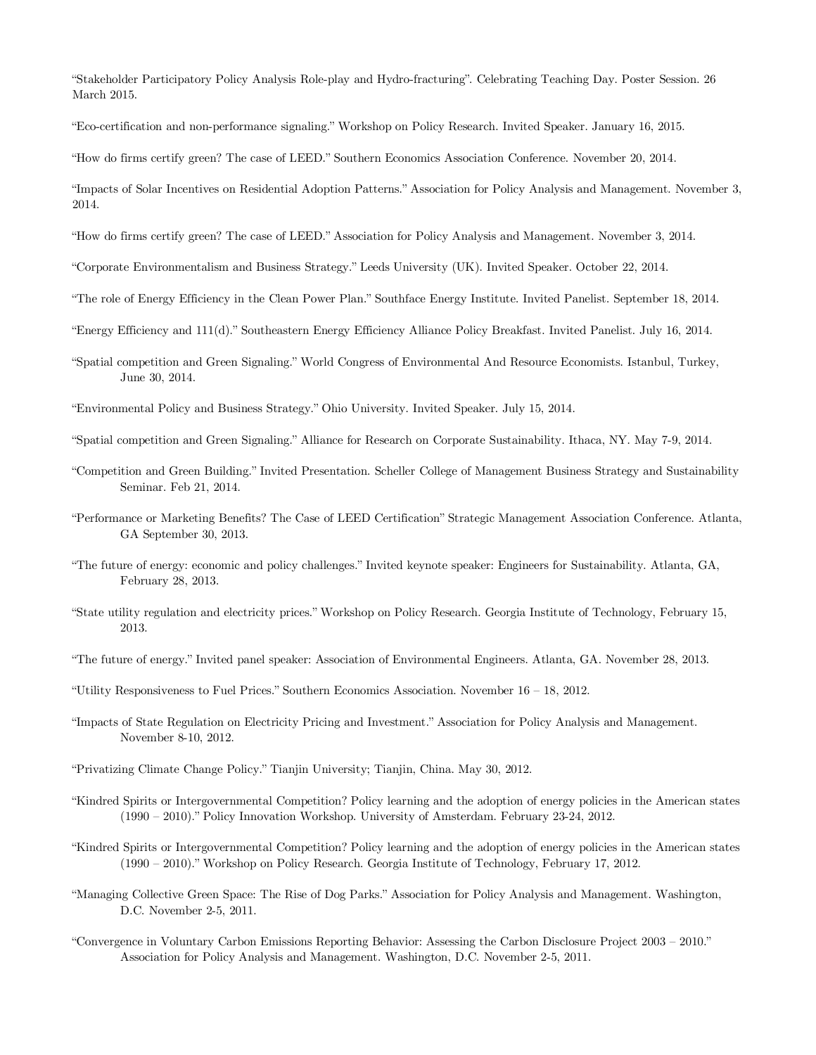"Stakeholder Participatory Policy Analysis Role-play and Hydro-fracturing". Celebrating Teaching Day. Poster Session. 26 March 2015.

"Eco-certification and non-performance signaling." Workshop on Policy Research. Invited Speaker. January 16, 2015.

"How do firms certify green? The case of LEED." Southern Economics Association Conference. November 20, 2014.

"Impacts of Solar Incentives on Residential Adoption Patterns." Association for Policy Analysis and Management. November 3, 2014.

"How do firms certify green? The case of LEED." Association for Policy Analysis and Management. November 3, 2014.

"Corporate Environmentalism and Business Strategy." Leeds University (UK). Invited Speaker. October 22, 2014.

"The role of Energy Efficiency in the Clean Power Plan." Southface Energy Institute. Invited Panelist. September 18, 2014.

"Energy Efficiency and 111(d)." Southeastern Energy Efficiency Alliance Policy Breakfast. Invited Panelist. July 16, 2014.

"Spatial competition and Green Signaling." World Congress of Environmental And Resource Economists. Istanbul, Turkey, June 30, 2014.

"Environmental Policy and Business Strategy." Ohio University. Invited Speaker. July 15, 2014.

"Spatial competition and Green Signaling." Alliance for Research on Corporate Sustainability. Ithaca, NY. May 7-9, 2014.

- "Competition and Green Building." Invited Presentation. Scheller College of Management Business Strategy and Sustainability Seminar. Feb 21, 2014.
- "Performance or Marketing Benefits? The Case of LEED Certification" Strategic Management Association Conference. Atlanta, GA September 30, 2013.
- "The future of energy: economic and policy challenges." Invited keynote speaker: Engineers for Sustainability. Atlanta, GA, February 28, 2013.
- "State utility regulation and electricity prices." Workshop on Policy Research. Georgia Institute of Technology, February 15, 2013.
- "The future of energy." Invited panel speaker: Association of Environmental Engineers. Atlanta, GA. November 28, 2013.

"Utility Responsiveness to Fuel Prices." Southern Economics Association. November 16 – 18, 2012.

- "Impacts of State Regulation on Electricity Pricing and Investment." Association for Policy Analysis and Management. November 8-10, 2012.
- "Privatizing Climate Change Policy." Tianjin University; Tianjin, China. May 30, 2012.
- "Kindred Spirits or Intergovernmental Competition? Policy learning and the adoption of energy policies in the American states (1990 – 2010)." Policy Innovation Workshop. University of Amsterdam. February 23-24, 2012.
- "Kindred Spirits or Intergovernmental Competition? Policy learning and the adoption of energy policies in the American states (1990 – 2010)." Workshop on Policy Research. Georgia Institute of Technology, February 17, 2012.
- "Managing Collective Green Space: The Rise of Dog Parks." Association for Policy Analysis and Management. Washington, D.C. November 2-5, 2011.
- "Convergence in Voluntary Carbon Emissions Reporting Behavior: Assessing the Carbon Disclosure Project 2003 2010." Association for Policy Analysis and Management. Washington, D.C. November 2-5, 2011.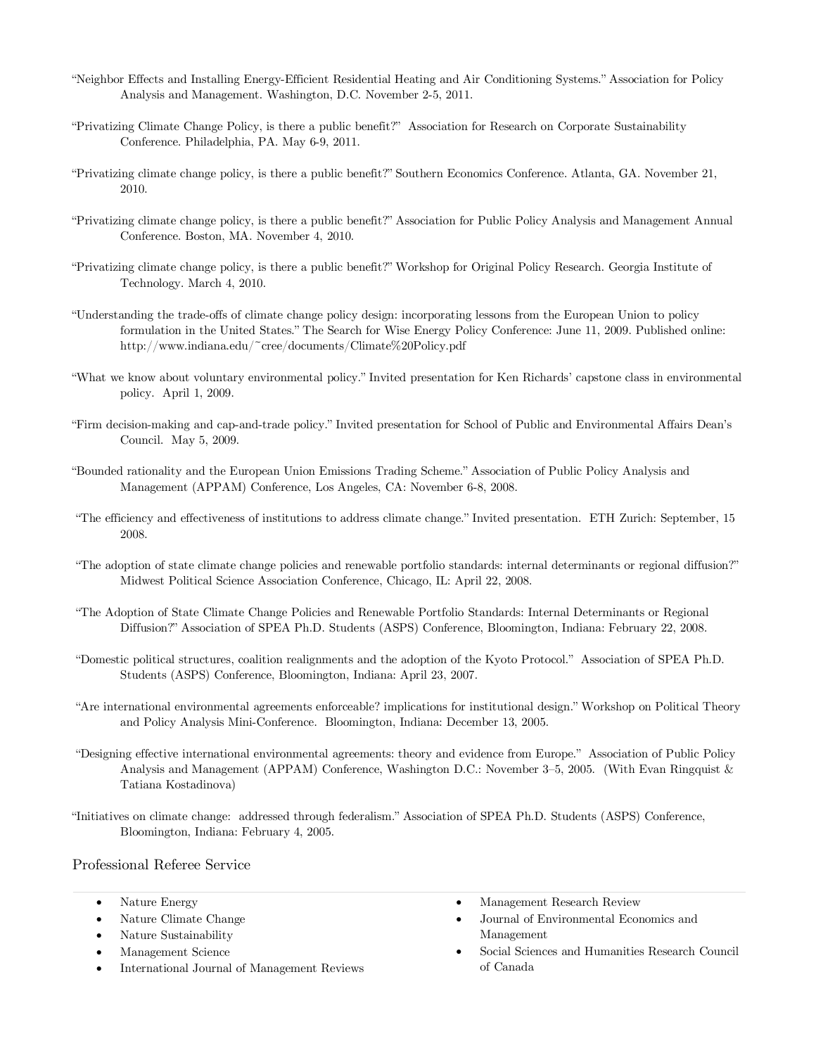- "Neighbor Effects and Installing Energy-Efficient Residential Heating and Air Conditioning Systems." Association for Policy Analysis and Management. Washington, D.C. November 2-5, 2011.
- "Privatizing Climate Change Policy, is there a public benefit?" Association for Research on Corporate Sustainability Conference. Philadelphia, PA. May 6-9, 2011.
- "Privatizing climate change policy, is there a public benefit?" Southern Economics Conference. Atlanta, GA. November 21, 2010.
- "Privatizing climate change policy, is there a public benefit?" Association for Public Policy Analysis and Management Annual Conference. Boston, MA. November 4, 2010.
- "Privatizing climate change policy, is there a public benefit?" Workshop for Original Policy Research. Georgia Institute of Technology. March 4, 2010.
- "Understanding the trade-offs of climate change policy design: incorporating lessons from the European Union to policy formulation in the United States." The Search for Wise Energy Policy Conference: June 11, 2009. Published online: http://www.indiana.edu/~cree/documents/Climate%20Policy.pdf
- "What we know about voluntary environmental policy." Invited presentation for Ken Richards' capstone class in environmental policy. April 1, 2009.
- "Firm decision-making and cap-and-trade policy." Invited presentation for School of Public and Environmental Affairs Dean's Council. May 5, 2009.
- "Bounded rationality and the European Union Emissions Trading Scheme." Association of Public Policy Analysis and Management (APPAM) Conference, Los Angeles, CA: November 6-8, 2008.
- "The efficiency and effectiveness of institutions to address climate change." Invited presentation. ETH Zurich: September, 15 2008.
- "The adoption of state climate change policies and renewable portfolio standards: internal determinants or regional diffusion?" Midwest Political Science Association Conference, Chicago, IL: April 22, 2008.
- "The Adoption of State Climate Change Policies and Renewable Portfolio Standards: Internal Determinants or Regional Diffusion?" Association of SPEA Ph.D. Students (ASPS) Conference, Bloomington, Indiana: February 22, 2008.
- "Domestic political structures, coalition realignments and the adoption of the Kyoto Protocol." Association of SPEA Ph.D. Students (ASPS) Conference, Bloomington, Indiana: April 23, 2007.
- "Are international environmental agreements enforceable? implications for institutional design." Workshop on Political Theory and Policy Analysis Mini-Conference. Bloomington, Indiana: December 13, 2005.
- "Designing effective international environmental agreements: theory and evidence from Europe." Association of Public Policy Analysis and Management (APPAM) Conference, Washington D.C.: November 3–5, 2005. (With Evan Ringquist & Tatiana Kostadinova)
- "Initiatives on climate change: addressed through federalism." Association of SPEA Ph.D. Students (ASPS) Conference, Bloomington, Indiana: February 4, 2005.

Professional Referee Service

- Nature Energy
- Nature Climate Change
- Nature Sustainability
- Management Science
- International Journal of Management Reviews
- Management Research Review
- Journal of Environmental Economics and Management
- Social Sciences and Humanities Research Council of Canada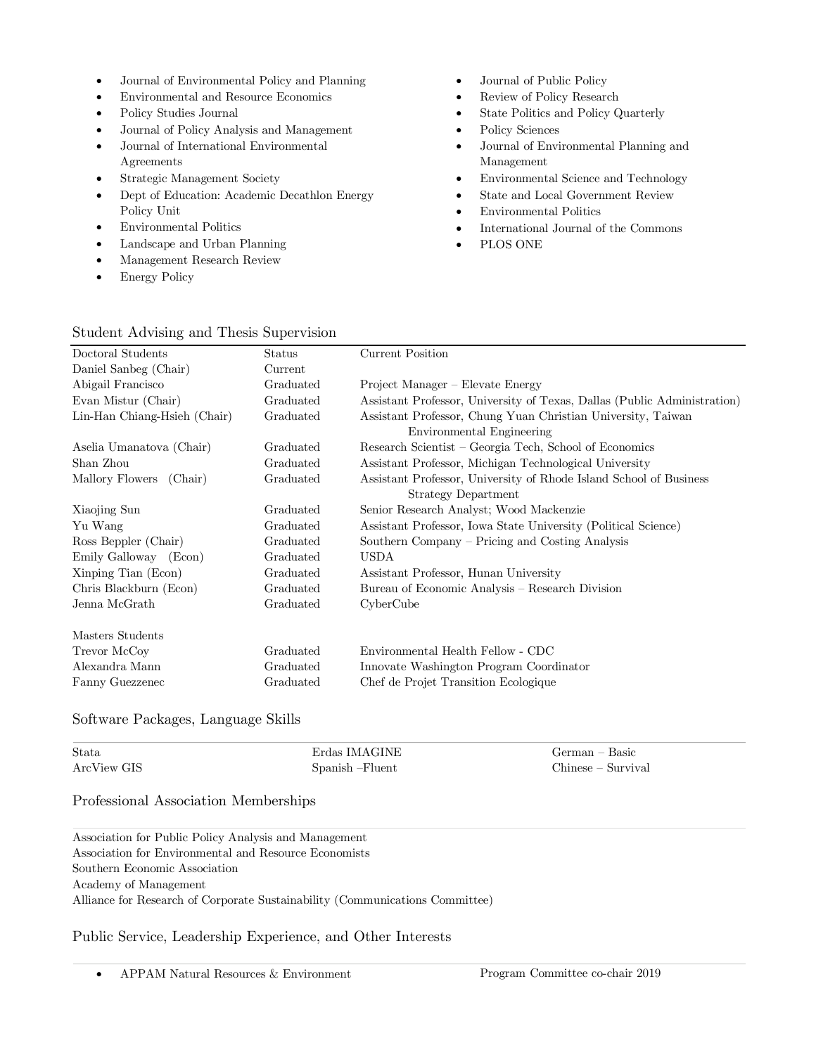- Journal of Environmental Policy and Planning
- Environmental and Resource Economics
- Policy Studies Journal
- Journal of Policy Analysis and Management
- Journal of International Environmental Agreements
- Strategic Management Society
- Dept of Education: Academic Decathlon Energy Policy Unit
- Environmental Politics
- Landscape and Urban Planning
- Management Research Review
- Energy Policy
- Journal of Public Policy
- Review of Policy Research
- State Politics and Policy Quarterly
- Policy Sciences
- Journal of Environmental Planning and Management
- Environmental Science and Technology
- State and Local Government Review
- Environmental Politics
- International Journal of the Commons
- PLOS ONE

# Student Advising and Thesis Supervision

| Doctoral Students            | Status    | Current Position                                                         |  |  |
|------------------------------|-----------|--------------------------------------------------------------------------|--|--|
| Daniel Sanbeg (Chair)        | Current   |                                                                          |  |  |
| Abigail Francisco            | Graduated | Project Manager – Elevate Energy                                         |  |  |
| Evan Mistur (Chair)          | Graduated | Assistant Professor, University of Texas, Dallas (Public Administration) |  |  |
| Lin-Han Chiang-Hsieh (Chair) | Graduated | Assistant Professor, Chung Yuan Christian University, Taiwan             |  |  |
|                              |           | Environmental Engineering                                                |  |  |
| Aselia Umanatova (Chair)     | Graduated | Research Scientist - Georgia Tech, School of Economics                   |  |  |
| Shan Zhou                    | Graduated | Assistant Professor, Michigan Technological University                   |  |  |
| Mallory Flowers<br>(Chair)   | Graduated | Assistant Professor, University of Rhode Island School of Business       |  |  |
|                              |           | <b>Strategy Department</b>                                               |  |  |
| Xiaojing Sun                 | Graduated | Senior Research Analyst; Wood Mackenzie                                  |  |  |
| Yu Wang                      | Graduated | Assistant Professor, Iowa State University (Political Science)           |  |  |
| Ross Beppler (Chair)         | Graduated | Southern Company – Pricing and Costing Analysis                          |  |  |
| Emily Galloway (Econ)        | Graduated | <b>USDA</b>                                                              |  |  |
| Xinping Tian (Econ)          | Graduated | Assistant Professor, Hunan University                                    |  |  |
| Chris Blackburn (Econ)       | Graduated | Bureau of Economic Analysis – Research Division                          |  |  |
| Jenna McGrath                | Graduated | CyberCube                                                                |  |  |
| Masters Students             |           |                                                                          |  |  |
| Trevor McCoy                 | Graduated | Environmental Health Fellow - CDC                                        |  |  |
| Alexandra Mann               | Graduated | Innovate Washington Program Coordinator                                  |  |  |
| Fanny Guezzenec              | Graduated | Chef de Projet Transition Ecologique                                     |  |  |

Software Packages, Language Skills

| Stata       | Erdas IMAGINE    | German – Basic     |
|-------------|------------------|--------------------|
| ArcView GIS | Spanish – Fluent | Chinese – Survival |

### Professional Association Memberships

Association for Public Policy Analysis and Management Association for Environmental and Resource Economists Southern Economic Association Academy of Management Alliance for Research of Corporate Sustainability (Communications Committee)

Public Service, Leadership Experience, and Other Interests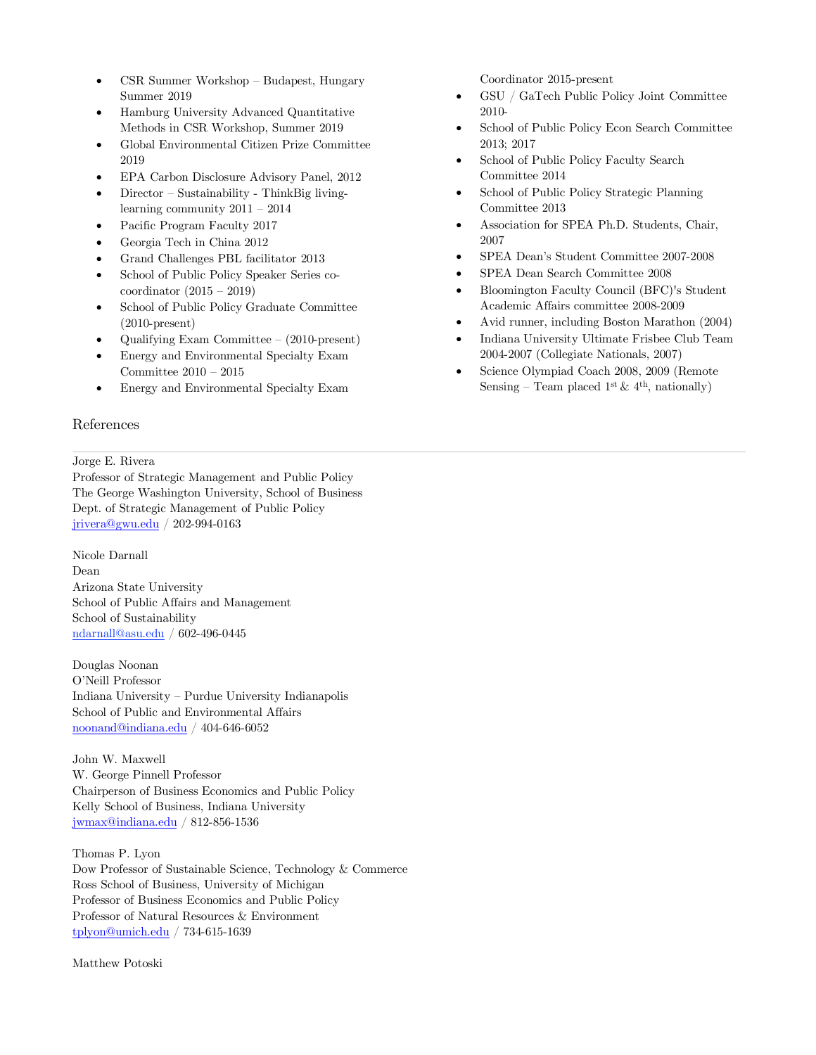- CSR Summer Workshop Budapest, Hungary Summer 2019
- Hamburg University Advanced Quantitative Methods in CSR Workshop, Summer 2019
- Global Environmental Citizen Prize Committee 2019
- EPA Carbon Disclosure Advisory Panel, 2012
- Director Sustainability ThinkBig livinglearning community 2011 – 2014
- Pacific Program Faculty 2017
- Georgia Tech in China 2012
- Grand Challenges PBL facilitator 2013
- School of Public Policy Speaker Series cocoordinator (2015 – 2019)
- School of Public Policy Graduate Committee (2010-present)
- Qualifying Exam Committee (2010-present)
- Energy and Environmental Specialty Exam Committee 2010 – 2015
- Energy and Environmental Specialty Exam

### References

#### Jorge E. Rivera

Professor of Strategic Management and Public Policy The George Washington University, School of Business Dept. of Strategic Management of Public Policy jrivera@gwu.edu / 202-994-0163

Nicole Darnall Dean Arizona State University School of Public Affairs and Management School of Sustainability ndarnall@asu.edu / 602-496-0445

Douglas Noonan O'Neill Professor Indiana University – Purdue University Indianapolis School of Public and Environmental Affairs noonand@indiana.edu / 404-646-6052

John W. Maxwell W. George Pinnell Professor Chairperson of Business Economics and Public Policy Kelly School of Business, Indiana University jwmax@indiana.edu / 812-856-1536

Thomas P. Lyon Dow Professor of Sustainable Science, Technology & Commerce Ross School of Business, University of Michigan Professor of Business Economics and Public Policy Professor of Natural Resources & Environment tplyon@umich.edu / 734-615-1639

Matthew Potoski

Coordinator 2015-present

- GSU / GaTech Public Policy Joint Committee 2010-
- School of Public Policy Econ Search Committee 2013; 2017
- School of Public Policy Faculty Search Committee 2014
- School of Public Policy Strategic Planning Committee 2013
- Association for SPEA Ph.D. Students, Chair, 2007
- SPEA Dean's Student Committee 2007-2008
- SPEA Dean Search Committee 2008
- Bloomington Faculty Council (BFC)'s Student Academic Affairs committee 2008-2009
- Avid runner, including Boston Marathon (2004)
- Indiana University Ultimate Frisbee Club Team 2004-2007 (Collegiate Nationals, 2007)
- Science Olympiad Coach 2008, 2009 (Remote Sensing – Team placed 1<sup>st</sup> & 4<sup>th</sup>, nationally)